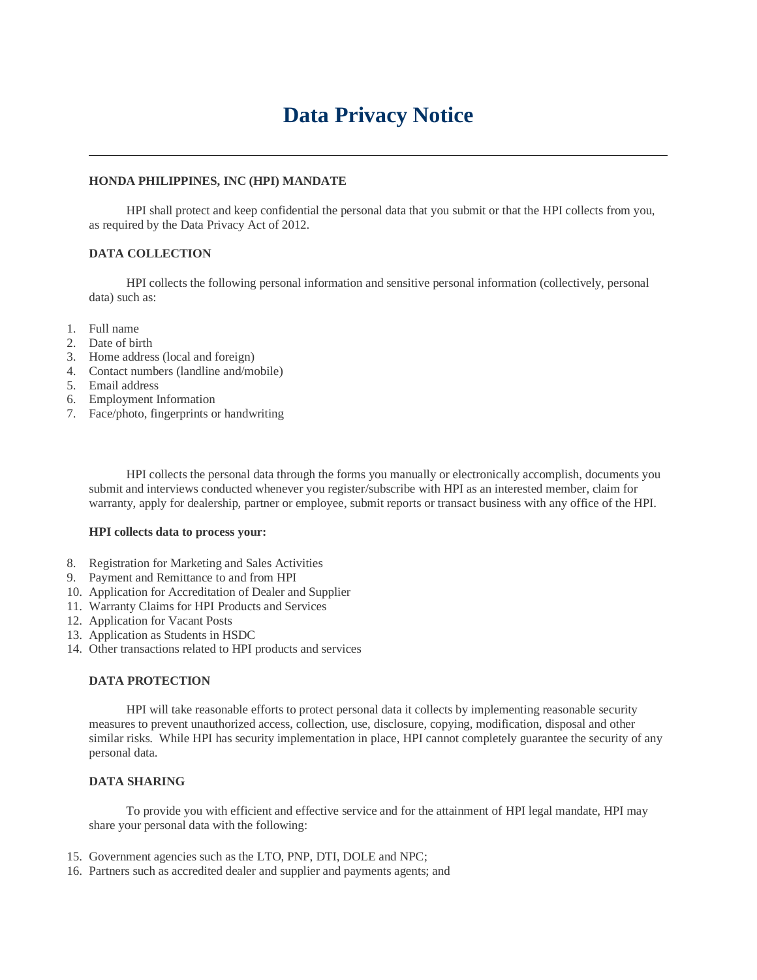# **Data Privacy Notice**

## **HONDA PHILIPPINES, INC (HPI) MANDATE**

 HPI shall protect and keep confidential the personal data that you submit or that the HPI collects from you, as required by the Data Privacy Act of 2012.

## **DATA COLLECTION**

 HPI collects the following personal information and sensitive personal information (collectively, personal data) such as:

- 1. Full name
- 2. Date of birth
- 3. Home address (local and foreign)
- 4. Contact numbers (landline and/mobile)
- 5. Email address
- 6. Employment Information
- 7. Face/photo, fingerprints or handwriting

 HPI collects the personal data through the forms you manually or electronically accomplish, documents you submit and interviews conducted whenever you register/subscribe with HPI as an interested member, claim for warranty, apply for dealership, partner or employee, submit reports or transact business with any office of the HPI.

#### **HPI collects data to process your:**

- 8. Registration for Marketing and Sales Activities
- 9. Payment and Remittance to and from HPI
- 10. Application for Accreditation of Dealer and Supplier
- 11. Warranty Claims for HPI Products and Services
- 12. Application for Vacant Posts
- 13. Application as Students in HSDC
- 14. Other transactions related to HPI products and services

## **DATA PROTECTION**

 HPI will take reasonable efforts to protect personal data it collects by implementing reasonable security measures to prevent unauthorized access, collection, use, disclosure, copying, modification, disposal and other similar risks. While HPI has security implementation in place, HPI cannot completely guarantee the security of any personal data.

### **DATA SHARING**

 To provide you with efficient and effective service and for the attainment of HPI legal mandate, HPI may share your personal data with the following:

- 15. Government agencies such as the LTO, PNP, DTI, DOLE and NPC;
- 16. Partners such as accredited dealer and supplier and payments agents; and